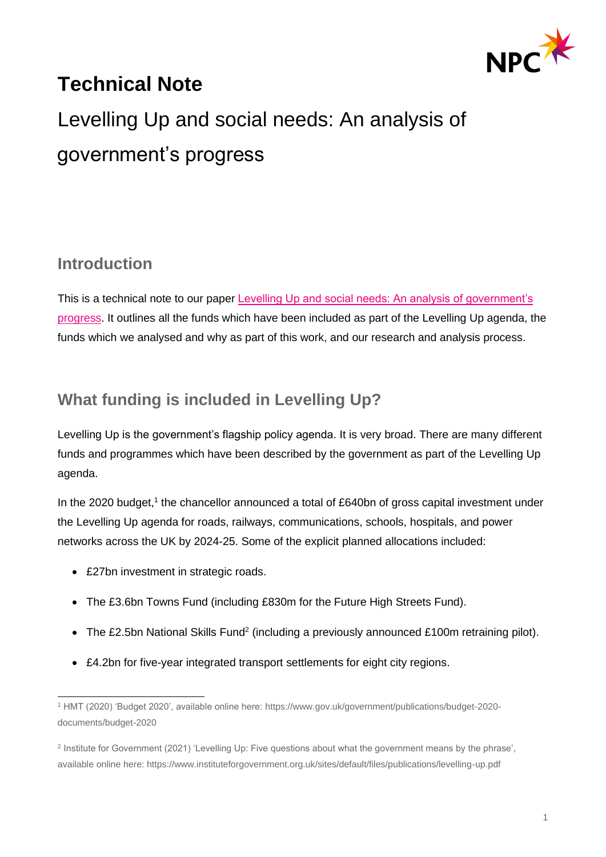

## **Technical Note**

# Levelling Up and social needs: An analysis of government's progress

### **Introduction**

This is a technical note to our paper [Levelling Up and social needs: An analysis of government's](https://www.thinknpc.org/resource-hub/levelling-up-social-needs/)  [progress.](https://www.thinknpc.org/resource-hub/levelling-up-social-needs/) It outlines all the funds which have been included as part of the Levelling Up agenda, the funds which we analysed and why as part of this work, and our research and analysis process.

## **What funding is included in Levelling Up?**

Levelling Up is the government's flagship policy agenda. It is very broad. There are many different funds and programmes which have been described by the government as part of the Levelling Up agenda.

In the 2020 budget,<sup>1</sup> the chancellor announced a total of £640bn of gross capital investment under the Levelling Up agenda for roads, railways, communications, schools, hospitals, and power networks across the UK by 2024-25. Some of the explicit planned allocations included:

- £27bn investment in strategic roads.
- The £3.6bn Towns Fund (including £830m for the Future High Streets Fund).
- The £2.5bn National Skills Fund<sup>2</sup> (including a previously announced £100m retraining pilot).
- £4.2bn for five-year integrated transport settlements for eight city regions.

<sup>1</sup> HMT (2020) 'Budget 2020', available online here: https://www.gov.uk/government/publications/budget-2020 documents/budget-2020

<sup>&</sup>lt;sup>2</sup> Institute for Government (2021) 'Levelling Up: Five questions about what the government means by the phrase', available online here: https://www.instituteforgovernment.org.uk/sites/default/files/publications/levelling-up.pdf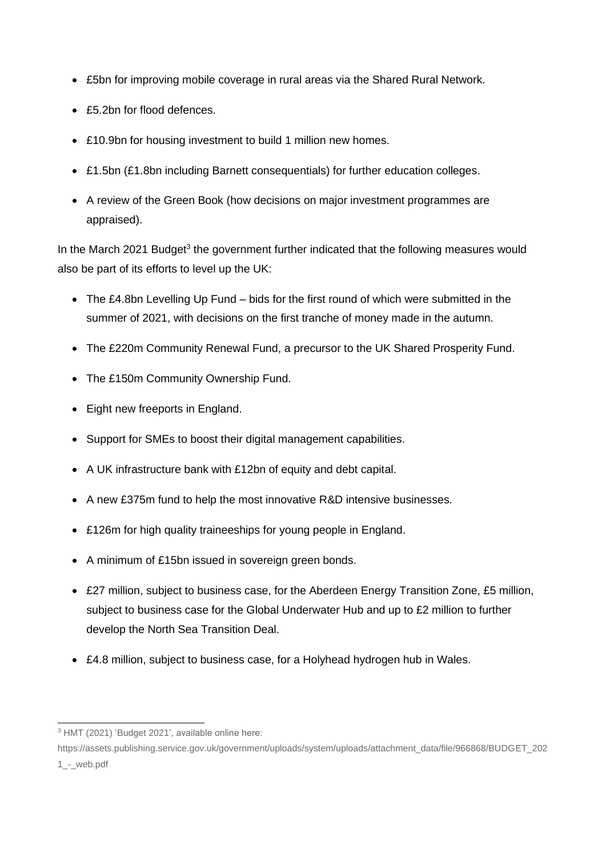- £5bn for improving mobile coverage in rural areas via the Shared Rural Network.
- £5.2bn for flood defences.
- £10.9bn for housing investment to build 1 million new homes.
- £1.5bn (£1.8bn including Barnett consequentials) for further education colleges.
- A review of the Green Book (how decisions on major investment programmes are appraised).

In the March 2021 Budget<sup>3</sup> the government further indicated that the following measures would also be part of its efforts to level up the UK:

- The £4.8bn Levelling Up Fund bids for the first round of which were submitted in the summer of 2021, with decisions on the first tranche of money made in the autumn.
- The £220m Community Renewal Fund, a precursor to the UK Shared Prosperity Fund.
- The £150m Community Ownership Fund.
- Eight new freeports in England.
- Support for SMEs to boost their digital management capabilities.
- A UK infrastructure bank with £12bn of equity and debt capital.
- A new £375m fund to help the most innovative R&D intensive businesses.
- £126m for high quality traineeships for young people in England.
- A minimum of £15bn issued in sovereign green bonds.
- £27 million, subject to business case, for the Aberdeen Energy Transition Zone, £5 million, subject to business case for the Global Underwater Hub and up to £2 million to further develop the North Sea Transition Deal.
- £4.8 million, subject to business case, for a Holyhead hydrogen hub in Wales.

<sup>3</sup> HMT (2021) 'Budget 2021', available online here:

https://assets.publishing.service.gov.uk/government/uploads/system/uploads/attachment\_data/file/966868/BUDGET\_202 1\_-\_web.pdf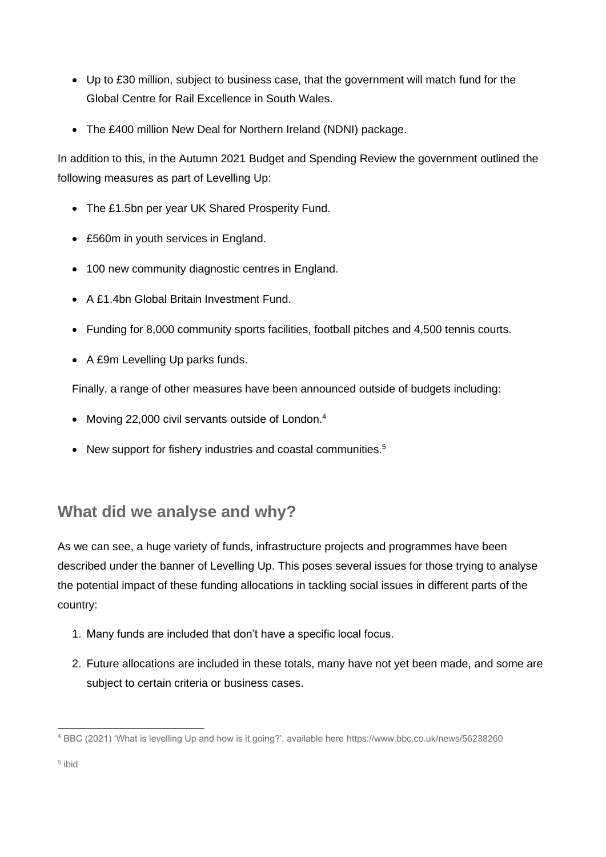- Up to £30 million, subject to business case, that the government will match fund for the Global Centre for Rail Excellence in South Wales.
- The £400 million New Deal for Northern Ireland (NDNI) package.

In addition to this, in the Autumn 2021 Budget and Spending Review the government outlined the following measures as part of Levelling Up:

- The £1.5bn per year UK Shared Prosperity Fund.
- £560m in youth services in England.
- 100 new community diagnostic centres in England.
- A £1.4bn Global Britain Investment Fund.
- Funding for 8,000 community sports facilities, football pitches and 4,500 tennis courts.
- A £9m Levelling Up parks funds.

Finally, a range of other measures have been announced outside of budgets including:

- Moving 22,000 civil servants outside of London.<sup>4</sup>
- New support for fishery industries and coastal communities.<sup>5</sup>

## **What did we analyse and why?**

As we can see, a huge variety of funds, infrastructure projects and programmes have been described under the banner of Levelling Up. This poses several issues for those trying to analyse the potential impact of these funding allocations in tackling social issues in different parts of the country:

- 1. Many funds are included that don't have a specific local focus.
- 2. Future allocations are included in these totals, many have not yet been made, and some are subject to certain criteria or business cases.

<sup>4</sup> BBC (2021) 'What is levelling Up and how is it going?', available here https://www.bbc.co.uk/news/56238260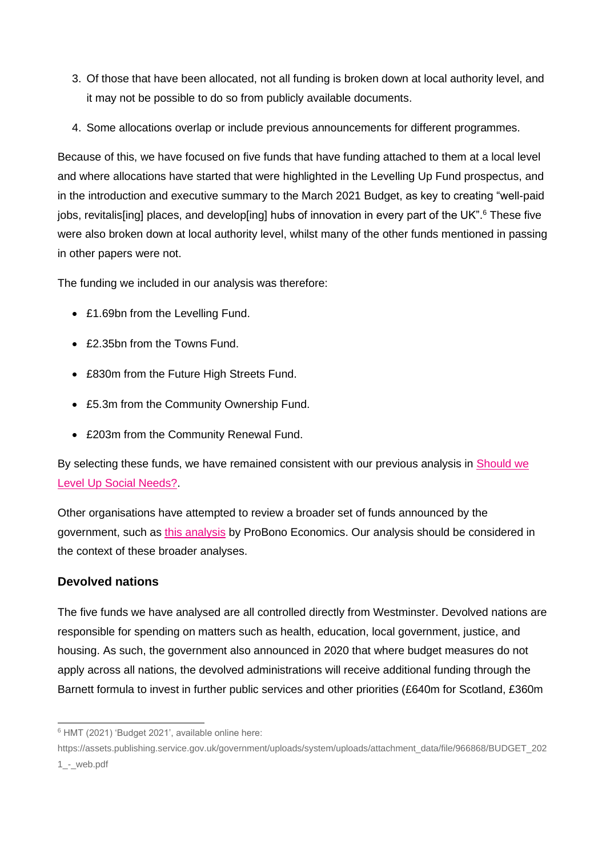- 3. Of those that have been allocated, not all funding is broken down at local authority level, and it may not be possible to do so from publicly available documents.
- 4. Some allocations overlap or include previous announcements for different programmes.

Because of this, we have focused on five funds that have funding attached to them at a local level and where allocations have started that were highlighted in the Levelling Up Fund prospectus, and in the introduction and executive summary to the March 2021 Budget, as key to creating "well-paid jobs, revitalis[ing] places, and develop[ing] hubs of innovation in every part of the UK". <sup>6</sup> These five were also broken down at local authority level, whilst many of the other funds mentioned in passing in other papers were not.

The funding we included in our analysis was therefore:

- £1.69bn from the Levelling Fund.
- £2.35bn from the Towns Fund.
- £830m from the Future High Streets Fund.
- £5.3m from the Community Ownership Fund.
- £203m from the Community Renewal Fund.

By selecting these funds, we have remained consistent with our previous analysis in [Should we](https://www.thinknpc.org/resource-hub/should-we-level-up-social-needs/)  [Level Up Social Needs?](https://www.thinknpc.org/resource-hub/should-we-level-up-social-needs/).

Other organisations have attempted to review a broader set of funds announced by the government, such as [this analysis](https://www.probonoeconomics.com/levelling-up-on-the-right-track) by ProBono Economics. Our analysis should be considered in the context of these broader analyses.

#### **Devolved nations**

The five funds we have analysed are all controlled directly from Westminster. Devolved nations are responsible for spending on matters such as health, education, local government, justice, and housing. As such, the government also announced in 2020 that where budget measures do not apply across all nations, the devolved administrations will receive additional funding through the Barnett formula to invest in further public services and other priorities (£640m for Scotland, £360m

<sup>6</sup> HMT (2021) 'Budget 2021', available online here:

https://assets.publishing.service.gov.uk/government/uploads/system/uploads/attachment\_data/file/966868/BUDGET\_202 1\_-\_web.pdf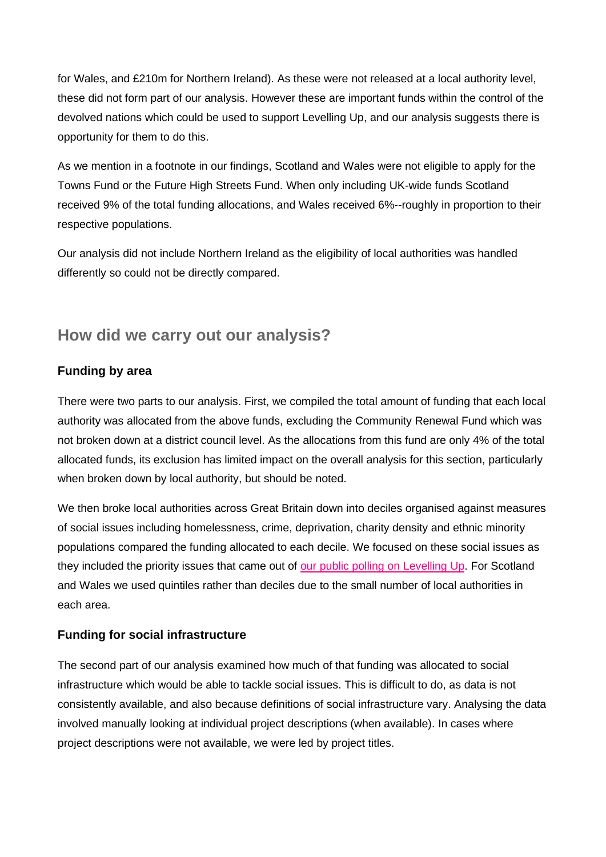for Wales, and £210m for Northern Ireland). As these were not released at a local authority level, these did not form part of our analysis. However these are important funds within the control of the devolved nations which could be used to support Levelling Up, and our analysis suggests there is opportunity for them to do this.

As we mention in a footnote in our findings, Scotland and Wales were not eligible to apply for the Towns Fund or the Future High Streets Fund. When only including UK-wide funds Scotland received 9% of the total funding allocations, and Wales received 6%--roughly in proportion to their respective populations.

Our analysis did not include Northern Ireland as the eligibility of local authorities was handled differently so could not be directly compared.

#### **How did we carry out our analysis?**

#### **Funding by area**

There were two parts to our analysis. First, we compiled the total amount of funding that each local authority was allocated from the above funds, excluding the Community Renewal Fund which was not broken down at a district council level. As the allocations from this fund are only 4% of the total allocated funds, its exclusion has limited impact on the overall analysis for this section, particularly when broken down by local authority, but should be noted.

We then broke local authorities across Great Britain down into deciles organised against measures of social issues including homelessness, crime, deprivation, charity density and ethnic minority populations compared the funding allocated to each decile. We focused on these social issues as they included the priority issues that came out of [our public polling on Levelling Up.](https://www.thinknpc.org/resource-hub/should-we-level-up-social-needs/) For Scotland and Wales we used quintiles rather than deciles due to the small number of local authorities in each area.

#### **Funding for social infrastructure**

The second part of our analysis examined how much of that funding was allocated to social infrastructure which would be able to tackle social issues. This is difficult to do, as data is not consistently available, and also because definitions of social infrastructure vary. Analysing the data involved manually looking at individual project descriptions (when available). In cases where project descriptions were not available, we were led by project titles.